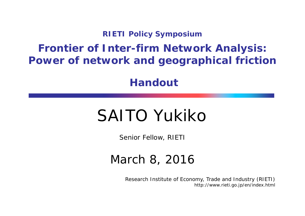**RIETI Policy Symposium**

#### **Frontier of Inter-firm Network Analysis: Power of network and geographical friction**

**Handout**

### SAITO Yukiko

Senior Fellow, RIETI

#### March 8, 2016

Research Institute of Economy, Trade and Industry (RIETI) http://www.rieti.go.jp/en/index.html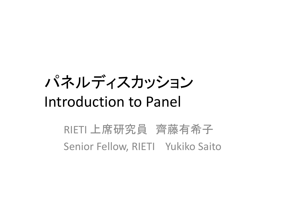# パネルディスカッション Introduction to Panel

#### RIETI 上席研究員 齊藤有希子 Senior Fellow, RIETI Yukiko Saito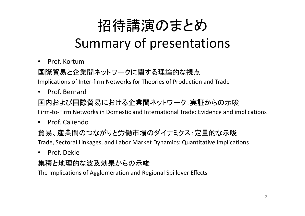# 招待講演のまとめ

#### Summary of presentations

•• Prof. Kortum

国際貿易と企業間ネットワークに関する理論的な視点

Implications of Inter‐firm Networks for Theories of Production and Trade

 $\bullet$ • Prof. Bernard

国内および国際貿易における企業間ネットワーク:実証からの示唆

Firm‐to‐Firm Networks in Domestic and International Trade: Evidence and implications

 $\bullet$ • Prof. Caliendo

#### 貿易、産業間のつながりと労働市場のダイナミクス:定量的な示唆

Trade, Sectoral Linkages, and Labor Market Dynamics: Quantitative implications

 $\bullet$ • Prof. Dekle

#### 集積と地理的な波及効果からの示唆

The Implications of Agglomeration and Regional Spillover Effects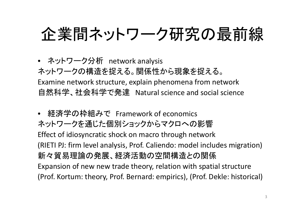# 企業間ネットワーク研究の最前線

• ネットワーク分析 network analysis ネットワークの構造を捉える。関係性から現象を捉える。 Examine network structure, explain phenomena from network 自然科学、社会科学で発達 Natural science and social science

• 経済学の枠組みで Framework of economics ネットワークを通じた個別ショックからマクロへの影響 Effect of idiosyncratic shock on macro through network (RIETI PJ: firm level analysis, Prof. Caliendo: model includes migration) 新々貿易理論の発展、経済活動の空間構造との関係 Expansion of new new trade theory, relation with spatial structure (Prof. Kortum: theory, Prof. Bernard: empirics), (Prof. Dekle: historical)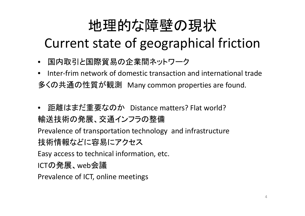#### 地理的な障壁の現状

#### Current state of geographical friction

- 国内取引と国際貿易の企業間ネットワーク
- •• Inter-frim network of domestic transaction and international trade 多くの共通の性質が観測 Many common properties are found.
- $\bullet$  距離はまだ重要なのか Distance matters? Flat world? 輸送技術の発展、交通インフラの整備

Prevalence of transportation technology and infrastructure 技術情報などに容易にアクセス

Easy access to technical information, etc.

ICTの発展、web会議

Prevalence of ICT, online meetings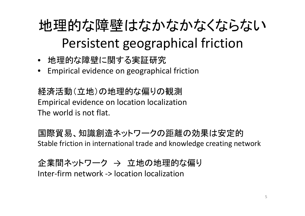### 地理的な障壁はなかなかなくならない Persistent geographical friction

- 地理的な障壁に関する実証研究
- Empirical evidence on geographical friction

経済活動(立地)の地理的な偏りの観測 Empirical evidence on location localization The world is not flat.

国際貿易、知識創造ネットワークの距離の効果は安定的 Stable friction in international trade and knowledge creating network

企業間ネットワーク → 立地の地理的な偏り Inter‐firm network ‐ > location localization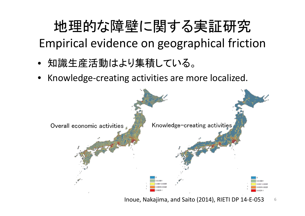#### 地理的な障壁に関する実証研究 Empirical evidence on geographical friction

- •知識生産活動はより集積している。
- •Knowledge‐creating activities are more localized.



Inoue, Nakajima, and Saito (2014), RIETI DP 14‐E‐053 6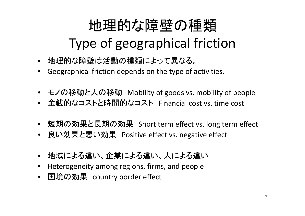## 地理的な障壁の種類 Type of geographical friction

- 地理的な障壁は活動の種類によって異なる。
- Geographical friction depends on the type of activities.
- モノの移動と人の移動 Mobility of goods vs. mobility of people
- 金銭的なコストと時間的なコスト Financial cost vs. time cost
- 短期の効果と長期の効果 Short term effect vs. long term effect
- 良い効果と悪い効果 Positive effect vs. negative effect
- •地域による違い、企業による違い、人による違い
- •Heterogeneity among regions, firms, and people
- 国境の効果 country border effect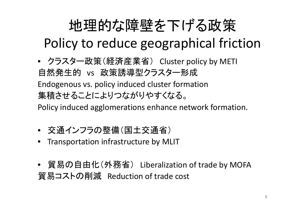# 地理的な障壁を下げる政策

Policy to reduce geographical friction

• クラスター政策(経済産業省) Cluster policy by METI 自然発生的 vs 政策誘導型クラスター形成 Endogenous vs. policy induced cluster formation 集積させることによりつながりやすくなる。

Policy induced agglomerations enhance network formation.

- 交通インフラの整備(国土交通省)
- •Transportation infrastructure by MLIT
- 貿易の自由化(外務省) Liberalization of trade by MOFA 貿易コストの削減 Reduction of trade cost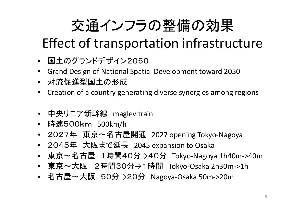## 交通インフラの整備の効果

#### Effect of transportation infrastructure

- 国土のグランドデザイン2050
- Grand Design of National Spatial Development toward 2050
- 対流促進型国土の形成
- Creation of a country generating diverse synergies among regions
- 中央リニア新幹線 maglev train
- 時速500km 500km/h
- 2027年 東京~名古屋開通 <sup>2027</sup> opening Tokyo ‐Nagoya
- 2045年 大阪まで延長 <sup>2045</sup> expansion to Osaka
- 東京~名古屋 1時間40分→40分 Tokyo-Nagoya 1h40m->40m
- 東京~大阪 2時間30分 →1時間 Tokyo ‐Osaka 2h30m ‐>1h
- 名古屋~大阪 50分→20分 Nagoya-Osaka 50m->20m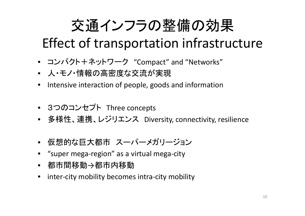### 交通インフラの整備の効果

#### Effect of transportation infrastructure

- コンパクト+ネットワーク "Compact" and "Networks"
- 人・モノ・情報の高密度な交流が実現
- Intensive interaction of people, goods and information
- 3つのコンセプト Three concepts
- 多様性、連携、レジリエンス Diversity, connectivity, resilience
- 仮想的な巨大都市 スーパーメガリージョン
- "super mega ‐region" as a virtual mega ‐city
- 都市間移動 →都市内移動
- inter-city mobility becomes intra-city mobility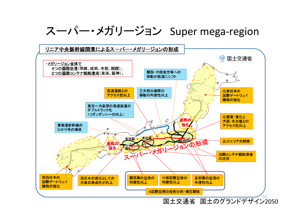#### スーパー・メガリージョン Super mega ‐region